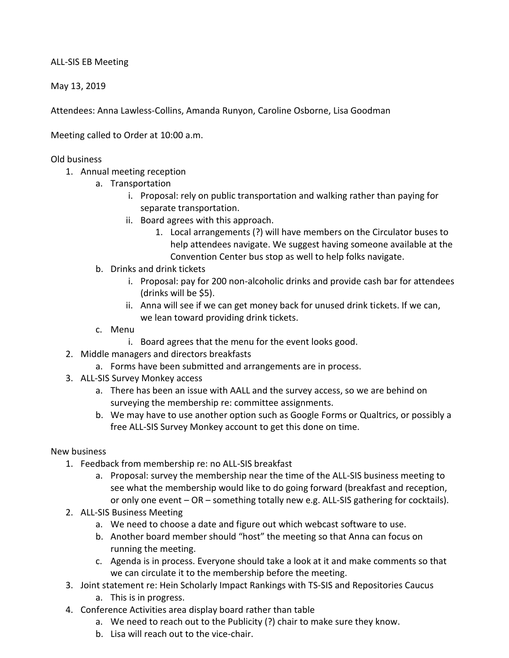ALL-SIS EB Meeting

May 13, 2019

Attendees: Anna Lawless-Collins, Amanda Runyon, Caroline Osborne, Lisa Goodman

Meeting called to Order at 10:00 a.m.

## Old business

- 1. Annual meeting reception
	- a. Transportation
		- i. Proposal: rely on public transportation and walking rather than paying for separate transportation.
		- ii. Board agrees with this approach.
			- 1. Local arrangements (?) will have members on the Circulator buses to help attendees navigate. We suggest having someone available at the Convention Center bus stop as well to help folks navigate.
	- b. Drinks and drink tickets
		- i. Proposal: pay for 200 non-alcoholic drinks and provide cash bar for attendees (drinks will be \$5).
		- ii. Anna will see if we can get money back for unused drink tickets. If we can, we lean toward providing drink tickets.
	- c. Menu
		- i. Board agrees that the menu for the event looks good.
- 2. Middle managers and directors breakfasts
	- a. Forms have been submitted and arrangements are in process.
- 3. ALL-SIS Survey Monkey access
	- a. There has been an issue with AALL and the survey access, so we are behind on surveying the membership re: committee assignments.
	- b. We may have to use another option such as Google Forms or Qualtrics, or possibly a free ALL-SIS Survey Monkey account to get this done on time.

## New business

- 1. Feedback from membership re: no ALL-SIS breakfast
	- a. Proposal: survey the membership near the time of the ALL-SIS business meeting to see what the membership would like to do going forward (breakfast and reception, or only one event – OR – something totally new e.g. ALL-SIS gathering for cocktails).
- 2. ALL-SIS Business Meeting
	- a. We need to choose a date and figure out which webcast software to use.
	- b. Another board member should "host" the meeting so that Anna can focus on running the meeting.
	- c. Agenda is in process. Everyone should take a look at it and make comments so that we can circulate it to the membership before the meeting.
- 3. Joint statement re: Hein Scholarly Impact Rankings with TS-SIS and Repositories Caucus
	- a. This is in progress.
- 4. Conference Activities area display board rather than table
	- a. We need to reach out to the Publicity (?) chair to make sure they know.
	- b. Lisa will reach out to the vice-chair.